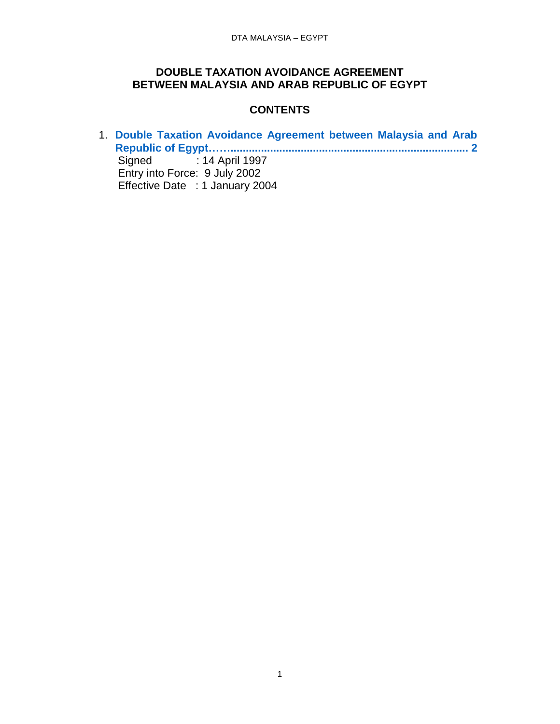### **DOUBLE TAXATION AVOIDANCE AGREEMENT BETWEEN MALAYSIA AND ARAB REPUBLIC OF EGYPT**

# **CONTENTS**

1. **[Double Taxation Avoidance Agreement between Malaysia and Arab](#page-1-0)  [Republic of Egypt……..............................................................................](#page-1-0) 2** Signed : 14 April 1997 Entry into Force: 9 July 2002 Effective Date : 1 January 2004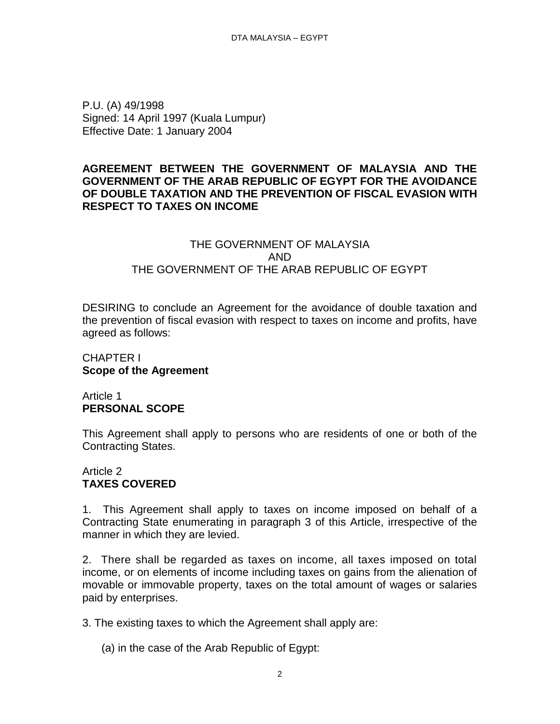<span id="page-1-0"></span>P.U. (A) 49/1998 Signed: 14 April 1997 (Kuala Lumpur) Effective Date: 1 January 2004

## **AGREEMENT BETWEEN THE GOVERNMENT OF MALAYSIA AND THE GOVERNMENT OF THE ARAB REPUBLIC OF EGYPT FOR THE AVOIDANCE OF DOUBLE TAXATION AND THE PREVENTION OF FISCAL EVASION WITH RESPECT TO TAXES ON INCOME**

## THE GOVERNMENT OF MALAYSIA AND THE GOVERNMENT OF THE ARAB REPUBLIC OF EGYPT

DESIRING to conclude an Agreement for the avoidance of double taxation and the prevention of fiscal evasion with respect to taxes on income and profits, have agreed as follows:

# CHAPTER I **Scope of the Agreement**

#### Article 1 **PERSONAL SCOPE**

This Agreement shall apply to persons who are residents of one or both of the Contracting States.

# Article 2 **TAXES COVERED**

1. This Agreement shall apply to taxes on income imposed on behalf of a Contracting State enumerating in paragraph 3 of this Article, irrespective of the manner in which they are levied.

2. There shall be regarded as taxes on income, all taxes imposed on total income, or on elements of income including taxes on gains from the alienation of movable or immovable property, taxes on the total amount of wages or salaries paid by enterprises.

3. The existing taxes to which the Agreement shall apply are:

(a) in the case of the Arab Republic of Egypt: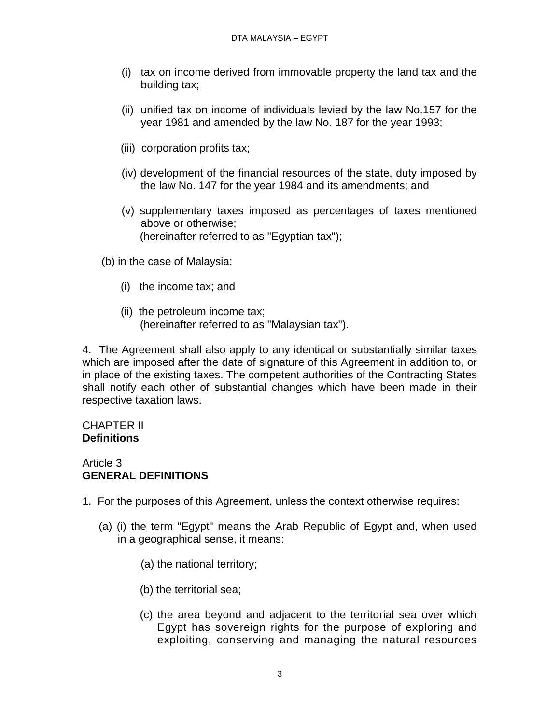- (i) tax on income derived from immovable property the land tax and the building tax;
- (ii) unified tax on income of individuals levied by the law No.157 for the year 1981 and amended by the law No. 187 for the year 1993;
- (iii) corporation profits tax;
- (iv) development of the financial resources of the state, duty imposed by the law No. 147 for the year 1984 and its amendments; and
- (v) supplementary taxes imposed as percentages of taxes mentioned above or otherwise; (hereinafter referred to as "Egyptian tax");
- (b) in the case of Malaysia:
	- (i) the income tax; and
	- (ii) the petroleum income tax; (hereinafter referred to as "Malaysian tax").

4. The Agreement shall also apply to any identical or substantially similar taxes which are imposed after the date of signature of this Agreement in addition to, or in place of the existing taxes. The competent authorities of the Contracting States shall notify each other of substantial changes which have been made in their respective taxation laws.

## CHAPTER II **Definitions**

# Article 3 **GENERAL DEFINITIONS**

- 1. For the purposes of this Agreement, unless the context otherwise requires:
	- (a) (i) the term "Egypt" means the Arab Republic of Egypt and, when used in a geographical sense, it means:
		- (a) the national territory;
		- (b) the territorial sea;
		- (c) the area beyond and adjacent to the territorial sea over which Egypt has sovereign rights for the purpose of exploring and exploiting, conserving and managing the natural resources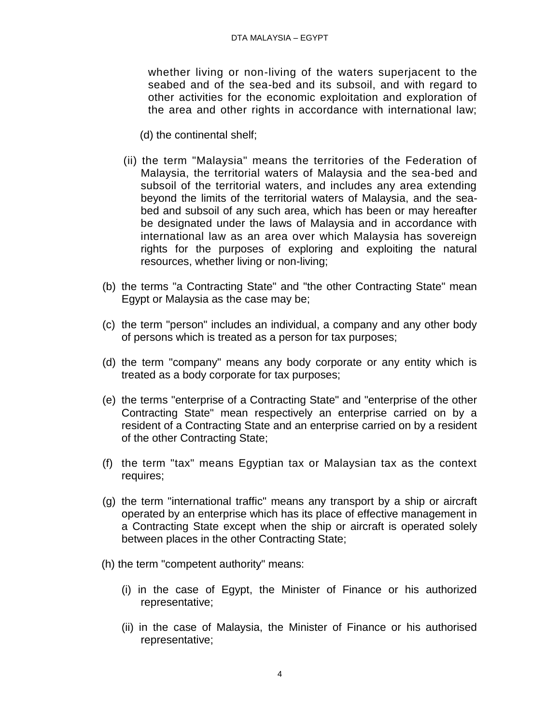whether living or non-living of the waters superjacent to the seabed and of the sea-bed and its subsoil, and with regard to other activities for the economic exploitation and exploration of the area and other rights in accordance with international law;

- (d) the continental shelf;
- (ii) the term "Malaysia" means the territories of the Federation of Malaysia, the territorial waters of Malaysia and the sea-bed and subsoil of the territorial waters, and includes any area extending beyond the limits of the territorial waters of Malaysia, and the seabed and subsoil of any such area, which has been or may hereafter be designated under the laws of Malaysia and in accordance with international law as an area over which Malaysia has sovereign rights for the purposes of exploring and exploiting the natural resources, whether living or non-living;
- (b) the terms "a Contracting State" and "the other Contracting State" mean Egypt or Malaysia as the case may be;
- (c) the term "person" includes an individual, a company and any other body of persons which is treated as a person for tax purposes;
- (d) the term "company" means any body corporate or any entity which is treated as a body corporate for tax purposes;
- (e) the terms "enterprise of a Contracting State" and "enterprise of the other Contracting State" mean respectively an enterprise carried on by a resident of a Contracting State and an enterprise carried on by a resident of the other Contracting State;
- (f) the term "tax" means Egyptian tax or Malaysian tax as the context requires;
- (g) the term "international traffic" means any transport by a ship or aircraft operated by an enterprise which has its place of effective management in a Contracting State except when the ship or aircraft is operated solely between places in the other Contracting State;
- (h) the term "competent authority" means:
	- (i) in the case of Egypt, the Minister of Finance or his authorized representative;
	- (ii) in the case of Malaysia, the Minister of Finance or his authorised representative;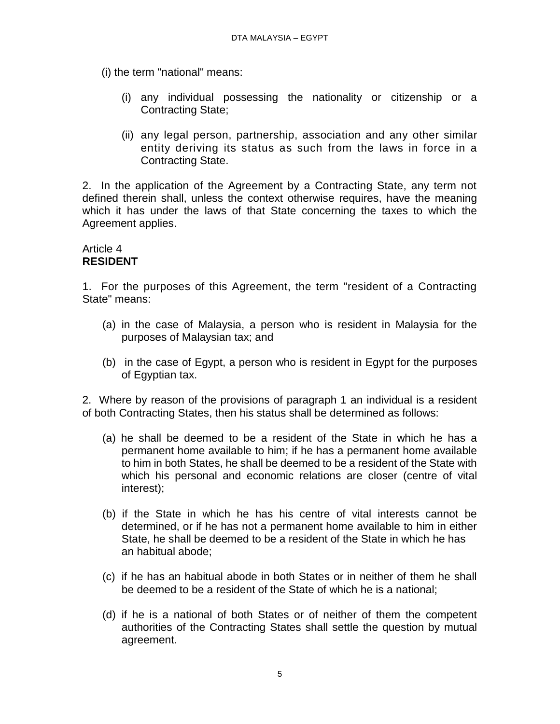(i) the term "national" means:

- (i) any individual possessing the nationality or citizenship or a Contracting State;
- (ii) any legal person, partnership, association and any other similar entity deriving its status as such from the laws in force in a Contracting State.

2. In the application of the Agreement by a Contracting State, any term not defined therein shall, unless the context otherwise requires, have the meaning which it has under the laws of that State concerning the taxes to which the Agreement applies.

## Article 4 **RESIDENT**

1. For the purposes of this Agreement, the term "resident of a Contracting State" means:

- (a) in the case of Malaysia, a person who is resident in Malaysia for the purposes of Malaysian tax; and
- (b) in the case of Egypt, a person who is resident in Egypt for the purposes of Egyptian tax.

2. Where by reason of the provisions of paragraph 1 an individual is a resident of both Contracting States, then his status shall be determined as follows:

- (a) he shall be deemed to be a resident of the State in which he has a permanent home available to him; if he has a permanent home available to him in both States, he shall be deemed to be a resident of the State with which his personal and economic relations are closer (centre of vital interest);
- (b) if the State in which he has his centre of vital interests cannot be determined, or if he has not a permanent home available to him in either State, he shall be deemed to be a resident of the State in which he has an habitual abode;
- (c) if he has an habitual abode in both States or in neither of them he shall be deemed to be a resident of the State of which he is a national;
- (d) if he is a national of both States or of neither of them the competent authorities of the Contracting States shall settle the question by mutual agreement.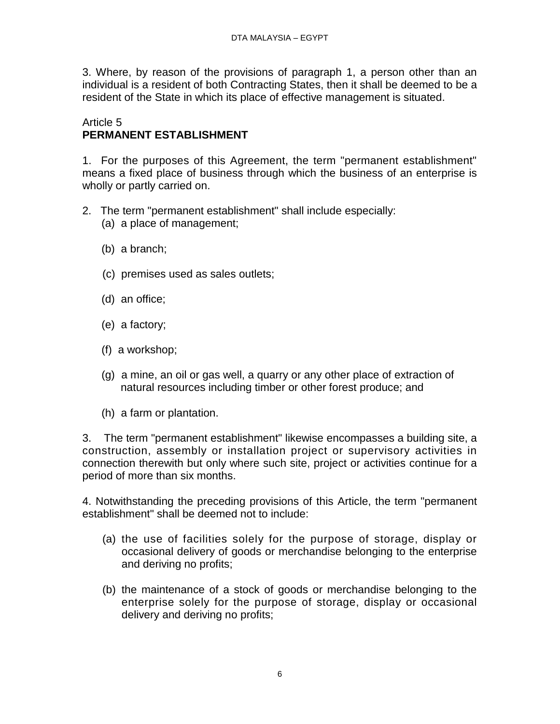3. Where, by reason of the provisions of paragraph 1, a person other than an individual is a resident of both Contracting States, then it shall be deemed to be a resident of the State in which its place of effective management is situated.

## Article 5 **PERMANENT ESTABLISHMENT**

1. For the purposes of this Agreement, the term "permanent establishment" means a fixed place of business through which the business of an enterprise is wholly or partly carried on.

- 2. The term "permanent establishment" shall include especially:
	- (a) a place of management;
	- (b) a branch;
	- (c) premises used as sales outlets;
	- (d) an office;
	- (e) a factory;
	- (f) a workshop;
	- (g) a mine, an oil or gas well, a quarry or any other place of extraction of natural resources including timber or other forest produce; and
	- (h) a farm or plantation.

3. The term "permanent establishment" likewise encompasses a building site, a construction, assembly or installation project or supervisory activities in connection therewith but only where such site, project or activities continue for a period of more than six months.

4. Notwithstanding the preceding provisions of this Article, the term "permanent establishment" shall be deemed not to include:

- (a) the use of facilities solely for the purpose of storage, display or occasional delivery of goods or merchandise belonging to the enterprise and deriving no profits;
- (b) the maintenance of a stock of goods or merchandise belonging to the enterprise solely for the purpose of storage, display or occasional delivery and deriving no profits;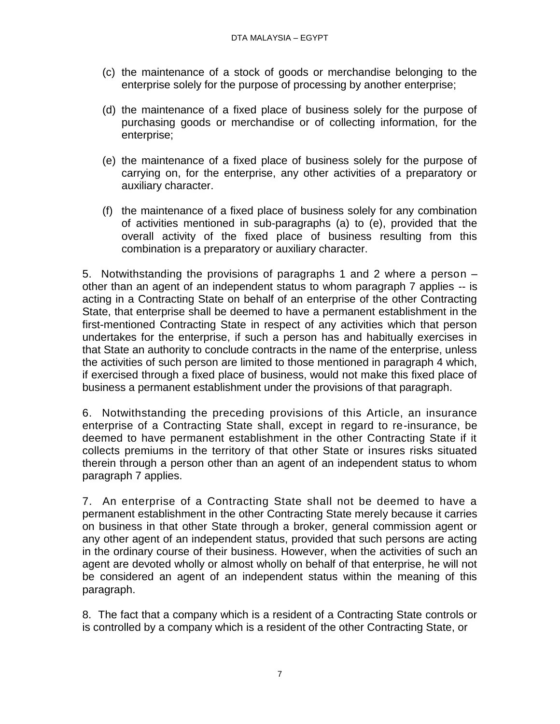- (c) the maintenance of a stock of goods or merchandise belonging to the enterprise solely for the purpose of processing by another enterprise;
- (d) the maintenance of a fixed place of business solely for the purpose of purchasing goods or merchandise or of collecting information, for the enterprise;
- (e) the maintenance of a fixed place of business solely for the purpose of carrying on, for the enterprise, any other activities of a preparatory or auxiliary character.
- (f) the maintenance of a fixed place of business solely for any combination of activities mentioned in sub-paragraphs (a) to (e), provided that the overall activity of the fixed place of business resulting from this combination is a preparatory or auxiliary character.

5. Notwithstanding the provisions of paragraphs 1 and 2 where a person – other than an agent of an independent status to whom paragraph 7 applies -- is acting in a Contracting State on behalf of an enterprise of the other Contracting State, that enterprise shall be deemed to have a permanent establishment in the first-mentioned Contracting State in respect of any activities which that person undertakes for the enterprise, if such a person has and habitually exercises in that State an authority to conclude contracts in the name of the enterprise, unless the activities of such person are limited to those mentioned in paragraph 4 which, if exercised through a fixed place of business, would not make this fixed place of business a permanent establishment under the provisions of that paragraph.

6. Notwithstanding the preceding provisions of this Article, an insurance enterprise of a Contracting State shall, except in regard to re-insurance, be deemed to have permanent establishment in the other Contracting State if it collects premiums in the territory of that other State or insures risks situated therein through a person other than an agent of an independent status to whom paragraph 7 applies.

7. An enterprise of a Contracting State shall not be deemed to have a permanent establishment in the other Contracting State merely because it carries on business in that other State through a broker, general commission agent or any other agent of an independent status, provided that such persons are acting in the ordinary course of their business. However, when the activities of such an agent are devoted wholly or almost wholly on behalf of that enterprise, he will not be considered an agent of an independent status within the meaning of this paragraph.

8. The fact that a company which is a resident of a Contracting State controls or is controlled by a company which is a resident of the other Contracting State, or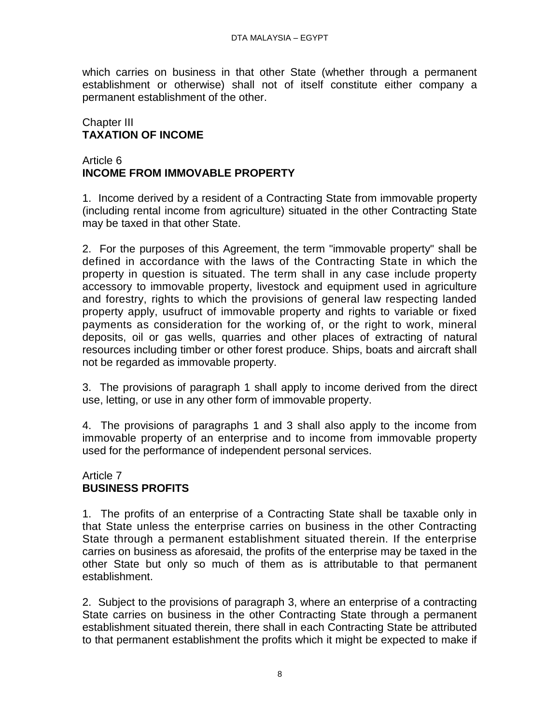which carries on business in that other State (whether through a permanent establishment or otherwise) shall not of itself constitute either company a permanent establishment of the other.

# Chapter III **TAXATION OF INCOME**

# Article 6 **INCOME FROM IMMOVABLE PROPERTY**

1. Income derived by a resident of a Contracting State from immovable property (including rental income from agriculture) situated in the other Contracting State may be taxed in that other State.

2. For the purposes of this Agreement, the term "immovable property" shall be defined in accordance with the laws of the Contracting State in which the property in question is situated. The term shall in any case include property accessory to immovable property, livestock and equipment used in agriculture and forestry, rights to which the provisions of general law respecting landed property apply, usufruct of immovable property and rights to variable or fixed payments as consideration for the working of, or the right to work, mineral deposits, oil or gas wells, quarries and other places of extracting of natural resources including timber or other forest produce. Ships, boats and aircraft shall not be regarded as immovable property.

3. The provisions of paragraph 1 shall apply to income derived from the direct use, letting, or use in any other form of immovable property.

4. The provisions of paragraphs 1 and 3 shall also apply to the income from immovable property of an enterprise and to income from immovable property used for the performance of independent personal services.

# Article 7 **BUSINESS PROFITS**

1. The profits of an enterprise of a Contracting State shall be taxable only in that State unless the enterprise carries on business in the other Contracting State through a permanent establishment situated therein. If the enterprise carries on business as aforesaid, the profits of the enterprise may be taxed in the other State but only so much of them as is attributable to that permanent establishment.

2. Subject to the provisions of paragraph 3, where an enterprise of a contracting State carries on business in the other Contracting State through a permanent establishment situated therein, there shall in each Contracting State be attributed to that permanent establishment the profits which it might be expected to make if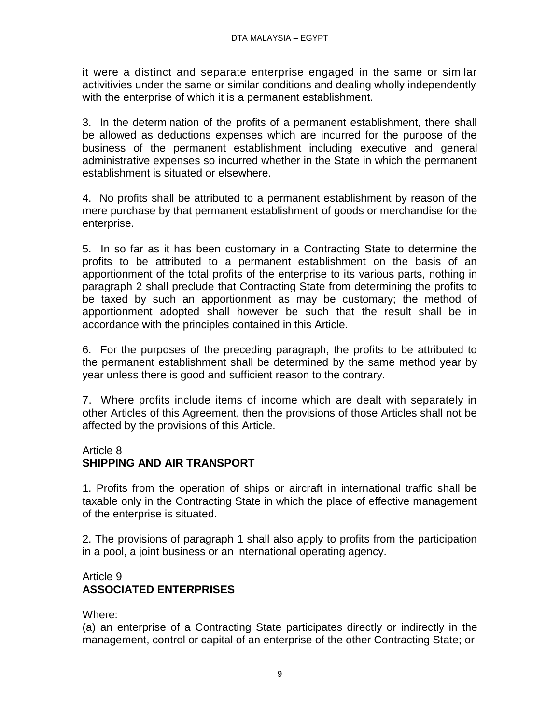it were a distinct and separate enterprise engaged in the same or similar activitivies under the same or similar conditions and dealing wholly independently with the enterprise of which it is a permanent establishment.

3. In the determination of the profits of a permanent establishment, there shall be allowed as deductions expenses which are incurred for the purpose of the business of the permanent establishment including executive and general administrative expenses so incurred whether in the State in which the permanent establishment is situated or elsewhere.

4. No profits shall be attributed to a permanent establishment by reason of the mere purchase by that permanent establishment of goods or merchandise for the enterprise.

5. In so far as it has been customary in a Contracting State to determine the profits to be attributed to a permanent establishment on the basis of an apportionment of the total profits of the enterprise to its various parts, nothing in paragraph 2 shall preclude that Contracting State from determining the profits to be taxed by such an apportionment as may be customary; the method of apportionment adopted shall however be such that the result shall be in accordance with the principles contained in this Article.

6. For the purposes of the preceding paragraph, the profits to be attributed to the permanent establishment shall be determined by the same method year by year unless there is good and sufficient reason to the contrary.

7. Where profits include items of income which are dealt with separately in other Articles of this Agreement, then the provisions of those Articles shall not be affected by the provisions of this Article.

## Article 8

# **SHIPPING AND AIR TRANSPORT**

1. Profits from the operation of ships or aircraft in international traffic shall be taxable only in the Contracting State in which the place of effective management of the enterprise is situated.

2. The provisions of paragraph 1 shall also apply to profits from the participation in a pool, a joint business or an international operating agency.

## Article 9 **ASSOCIATED ENTERPRISES**

## Where:

(a) an enterprise of a Contracting State participates directly or indirectly in the management, control or capital of an enterprise of the other Contracting State; or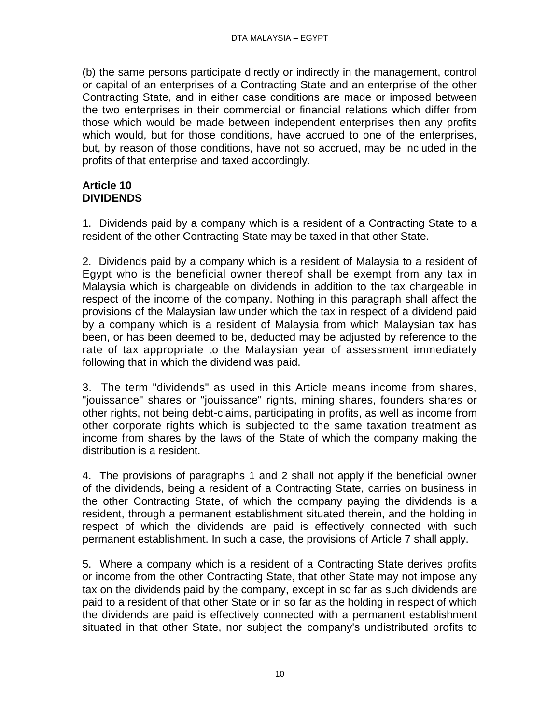(b) the same persons participate directly or indirectly in the management, control or capital of an enterprises of a Contracting State and an enterprise of the other Contracting State, and in either case conditions are made or imposed between the two enterprises in their commercial or financial relations which differ from those which would be made between independent enterprises then any profits which would, but for those conditions, have accrued to one of the enterprises, but, by reason of those conditions, have not so accrued, may be included in the profits of that enterprise and taxed accordingly.

## **Article 10 DIVIDENDS**

1. Dividends paid by a company which is a resident of a Contracting State to a resident of the other Contracting State may be taxed in that other State.

2. Dividends paid by a company which is a resident of Malaysia to a resident of Egypt who is the beneficial owner thereof shall be exempt from any tax in Malaysia which is chargeable on dividends in addition to the tax chargeable in respect of the income of the company. Nothing in this paragraph shall affect the provisions of the Malaysian law under which the tax in respect of a dividend paid by a company which is a resident of Malaysia from which Malaysian tax has been, or has been deemed to be, deducted may be adjusted by reference to the rate of tax appropriate to the Malaysian year of assessment immediately following that in which the dividend was paid.

3. The term "dividends" as used in this Article means income from shares, "jouissance" shares or "jouissance" rights, mining shares, founders shares or other rights, not being debt-claims, participating in profits, as well as income from other corporate rights which is subjected to the same taxation treatment as income from shares by the laws of the State of which the company making the distribution is a resident.

4. The provisions of paragraphs 1 and 2 shall not apply if the beneficial owner of the dividends, being a resident of a Contracting State, carries on business in the other Contracting State, of which the company paying the dividends is a resident, through a permanent establishment situated therein, and the holding in respect of which the dividends are paid is effectively connected with such permanent establishment. In such a case, the provisions of Article 7 shall apply.

5. Where a company which is a resident of a Contracting State derives profits or income from the other Contracting State, that other State may not impose any tax on the dividends paid by the company, except in so far as such dividends are paid to a resident of that other State or in so far as the holding in respect of which the dividends are paid is effectively connected with a permanent establishment situated in that other State, nor subject the company's undistributed profits to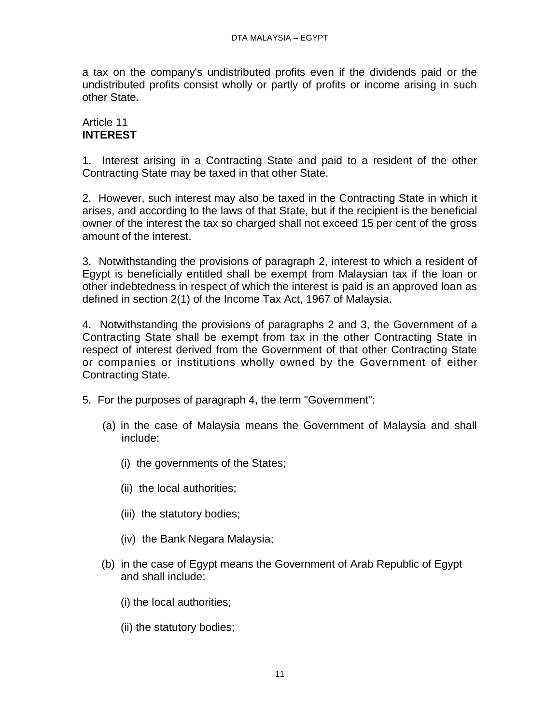a tax on the company's undistributed profits even if the dividends paid or the undistributed profits consist wholly or partly of profits or income arising in such other State.

# Article 11 **INTEREST**

1. Interest arising in a Contracting State and paid to a resident of the other Contracting State may be taxed in that other State.

2. However, such interest may also be taxed in the Contracting State in which it arises, and according to the laws of that State, but if the recipient is the beneficial owner of the interest the tax so charged shall not exceed 15 per cent of the gross amount of the interest.

3. Notwithstanding the provisions of paragraph 2, interest to which a resident of Egypt is beneficially entitled shall be exempt from Malaysian tax if the loan or other indebtedness in respect of which the interest is paid is an approved loan as defined in section 2(1) of the Income Tax Act, 1967 of Malaysia.

4. Notwithstanding the provisions of paragraphs 2 and 3, the Government of a Contracting State shall be exempt from tax in the other Contracting State in respect of interest derived from the Government of that other Contracting State or companies or institutions wholly owned by the Government of either Contracting State.

- 5. For the purposes of paragraph 4, the term "Government":
	- (a) in the case of Malaysia means the Government of Malaysia and shall include:
		- (i) the governments of the States;
		- (ii) the local authorities;
		- (iii) the statutory bodies;
		- (iv) the Bank Negara Malaysia;
	- (b) in the case of Egypt means the Government of Arab Republic of Egypt and shall include:
		- (i) the local authorities;
		- (ii) the statutory bodies;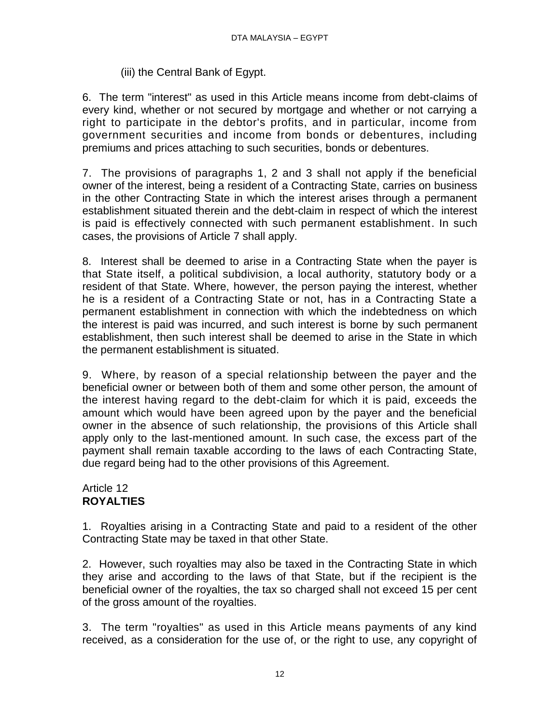# (iii) the Central Bank of Egypt.

6. The term "interest" as used in this Article means income from debt-claims of every kind, whether or not secured by mortgage and whether or not carrying a right to participate in the debtor's profits, and in particular, income from government securities and income from bonds or debentures, including premiums and prices attaching to such securities, bonds or debentures.

7. The provisions of paragraphs 1, 2 and 3 shall not apply if the beneficial owner of the interest, being a resident of a Contracting State, carries on business in the other Contracting State in which the interest arises through a permanent establishment situated therein and the debt-claim in respect of which the interest is paid is effectively connected with such permanent establishment. In such cases, the provisions of Article 7 shall apply.

8. Interest shall be deemed to arise in a Contracting State when the payer is that State itself, a political subdivision, a local authority, statutory body or a resident of that State. Where, however, the person paying the interest, whether he is a resident of a Contracting State or not, has in a Contracting State a permanent establishment in connection with which the indebtedness on which the interest is paid was incurred, and such interest is borne by such permanent establishment, then such interest shall be deemed to arise in the State in which the permanent establishment is situated.

9. Where, by reason of a special relationship between the payer and the beneficial owner or between both of them and some other person, the amount of the interest having regard to the debt-claim for which it is paid, exceeds the amount which would have been agreed upon by the payer and the beneficial owner in the absence of such relationship, the provisions of this Article shall apply only to the last-mentioned amount. In such case, the excess part of the payment shall remain taxable according to the laws of each Contracting State, due regard being had to the other provisions of this Agreement.

#### Article 12 **ROYALTIES**

1. Royalties arising in a Contracting State and paid to a resident of the other Contracting State may be taxed in that other State.

2. However, such royalties may also be taxed in the Contracting State in which they arise and according to the laws of that State, but if the recipient is the beneficial owner of the royalties, the tax so charged shall not exceed 15 per cent of the gross amount of the royalties.

3. The term "royalties" as used in this Article means payments of any kind received, as a consideration for the use of, or the right to use, any copyright of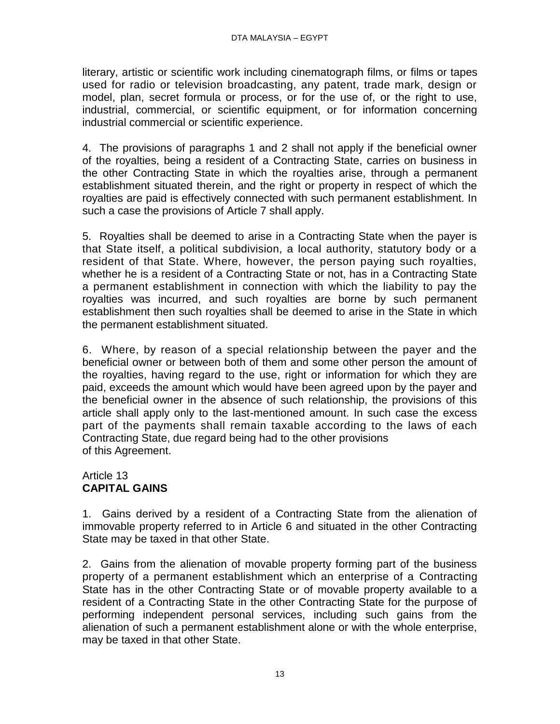literary, artistic or scientific work including cinematograph films, or films or tapes used for radio or television broadcasting, any patent, trade mark, design or model, plan, secret formula or process, or for the use of, or the right to use, industrial, commercial, or scientific equipment, or for information concerning industrial commercial or scientific experience.

4. The provisions of paragraphs 1 and 2 shall not apply if the beneficial owner of the royalties, being a resident of a Contracting State, carries on business in the other Contracting State in which the royalties arise, through a permanent establishment situated therein, and the right or property in respect of which the royalties are paid is effectively connected with such permanent establishment. In such a case the provisions of Article 7 shall apply.

5. Royalties shall be deemed to arise in a Contracting State when the payer is that State itself, a political subdivision, a local authority, statutory body or a resident of that State. Where, however, the person paying such royalties, whether he is a resident of a Contracting State or not, has in a Contracting State a permanent establishment in connection with which the liability to pay the royalties was incurred, and such royalties are borne by such permanent establishment then such royalties shall be deemed to arise in the State in which the permanent establishment situated.

6. Where, by reason of a special relationship between the payer and the beneficial owner or between both of them and some other person the amount of the royalties, having regard to the use, right or information for which they are paid, exceeds the amount which would have been agreed upon by the payer and the beneficial owner in the absence of such relationship, the provisions of this article shall apply only to the last-mentioned amount. In such case the excess part of the payments shall remain taxable according to the laws of each Contracting State, due regard being had to the other provisions of this Agreement.

# Article 13 **CAPITAL GAINS**

1. Gains derived by a resident of a Contracting State from the alienation of immovable property referred to in Article 6 and situated in the other Contracting State may be taxed in that other State.

2. Gains from the alienation of movable property forming part of the business property of a permanent establishment which an enterprise of a Contracting State has in the other Contracting State or of movable property available to a resident of a Contracting State in the other Contracting State for the purpose of performing independent personal services, including such gains from the alienation of such a permanent establishment alone or with the whole enterprise, may be taxed in that other State.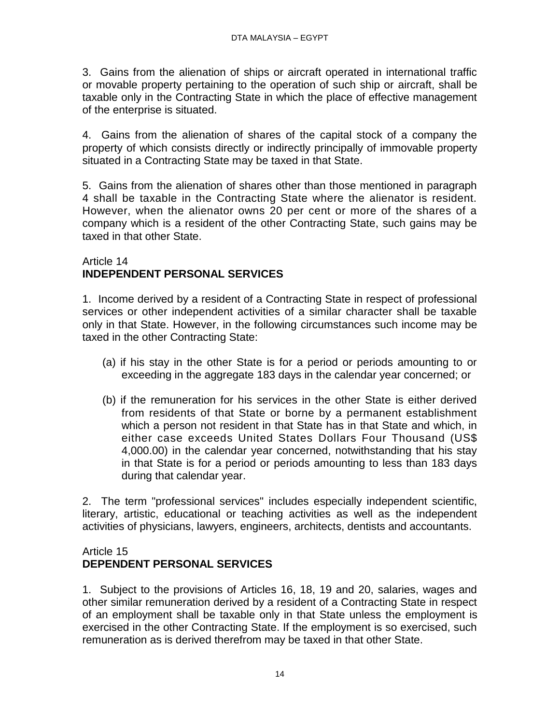3. Gains from the alienation of ships or aircraft operated in international traffic or movable property pertaining to the operation of such ship or aircraft, shall be taxable only in the Contracting State in which the place of effective management of the enterprise is situated.

4. Gains from the alienation of shares of the capital stock of a company the property of which consists directly or indirectly principally of immovable property situated in a Contracting State may be taxed in that State.

5. Gains from the alienation of shares other than those mentioned in paragraph 4 shall be taxable in the Contracting State where the alienator is resident. However, when the alienator owns 20 per cent or more of the shares of a company which is a resident of the other Contracting State, such gains may be taxed in that other State.

## Article 14 **INDEPENDENT PERSONAL SERVICES**

1. Income derived by a resident of a Contracting State in respect of professional services or other independent activities of a similar character shall be taxable only in that State. However, in the following circumstances such income may be taxed in the other Contracting State:

- (a) if his stay in the other State is for a period or periods amounting to or exceeding in the aggregate 183 days in the calendar year concerned; or
- (b) if the remuneration for his services in the other State is either derived from residents of that State or borne by a permanent establishment which a person not resident in that State has in that State and which, in either case exceeds United States Dollars Four Thousand (US\$ 4,000.00) in the calendar year concerned, notwithstanding that his stay in that State is for a period or periods amounting to less than 183 days during that calendar year.

2. The term "professional services" includes especially independent scientific, literary, artistic, educational or teaching activities as well as the independent activities of physicians, lawyers, engineers, architects, dentists and accountants.

#### Article 15 **DEPENDENT PERSONAL SERVICES**

1. Subject to the provisions of Articles 16, 18, 19 and 20, salaries, wages and other similar remuneration derived by a resident of a Contracting State in respect of an employment shall be taxable only in that State unless the employment is exercised in the other Contracting State. If the employment is so exercised, such remuneration as is derived therefrom may be taxed in that other State.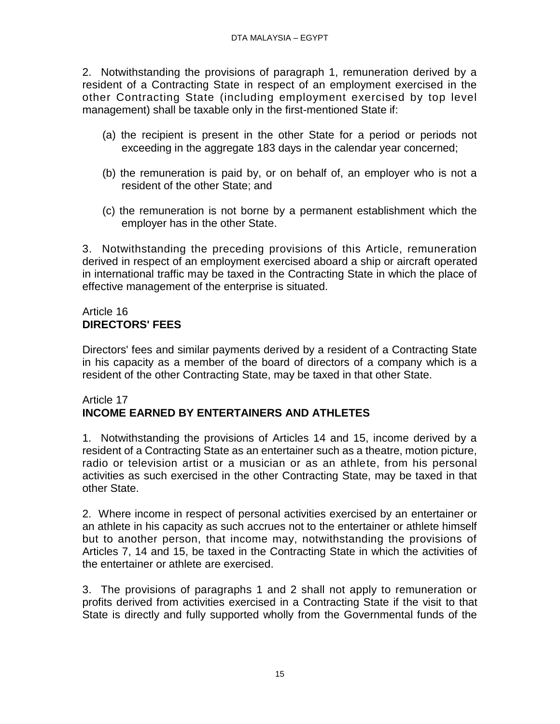2. Notwithstanding the provisions of paragraph 1, remuneration derived by a resident of a Contracting State in respect of an employment exercised in the other Contracting State (including employment exercised by top level management) shall be taxable only in the first-mentioned State if:

- (a) the recipient is present in the other State for a period or periods not exceeding in the aggregate 183 days in the calendar year concerned;
- (b) the remuneration is paid by, or on behalf of, an employer who is not a resident of the other State; and
- (c) the remuneration is not borne by a permanent establishment which the employer has in the other State.

3. Notwithstanding the preceding provisions of this Article, remuneration derived in respect of an employment exercised aboard a ship or aircraft operated in international traffic may be taxed in the Contracting State in which the place of effective management of the enterprise is situated.

# Article 16 **DIRECTORS' FEES**

Directors' fees and similar payments derived by a resident of a Contracting State in his capacity as a member of the board of directors of a company which is a resident of the other Contracting State, may be taxed in that other State.

# Article 17 **INCOME EARNED BY ENTERTAINERS AND ATHLETES**

1. Notwithstanding the provisions of Articles 14 and 15, income derived by a resident of a Contracting State as an entertainer such as a theatre, motion picture, radio or television artist or a musician or as an athlete, from his personal activities as such exercised in the other Contracting State, may be taxed in that other State.

2. Where income in respect of personal activities exercised by an entertainer or an athlete in his capacity as such accrues not to the entertainer or athlete himself but to another person, that income may, notwithstanding the provisions of Articles 7, 14 and 15, be taxed in the Contracting State in which the activities of the entertainer or athlete are exercised.

3. The provisions of paragraphs 1 and 2 shall not apply to remuneration or profits derived from activities exercised in a Contracting State if the visit to that State is directly and fully supported wholly from the Governmental funds of the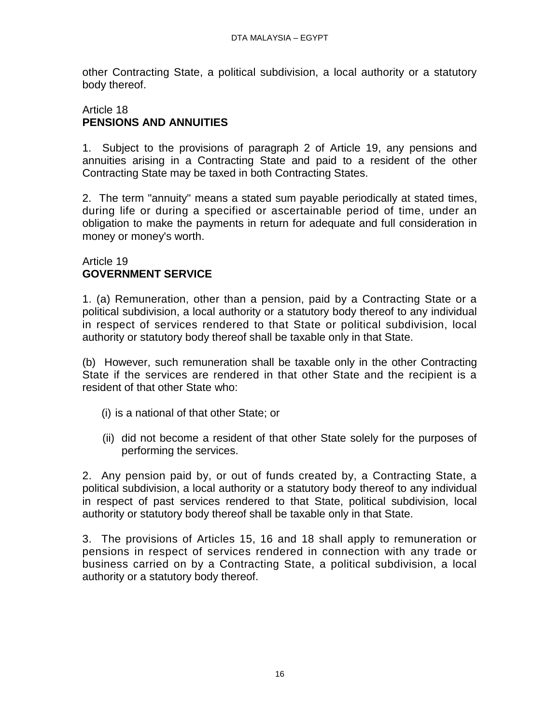other Contracting State, a political subdivision, a local authority or a statutory body thereof.

#### Article 18 **PENSIONS AND ANNUITIES**

1. Subject to the provisions of paragraph 2 of Article 19, any pensions and annuities arising in a Contracting State and paid to a resident of the other Contracting State may be taxed in both Contracting States.

2. The term "annuity" means a stated sum payable periodically at stated times, during life or during a specified or ascertainable period of time, under an obligation to make the payments in return for adequate and full consideration in money or money's worth.

# Article 19 **GOVERNMENT SERVICE**

1. (a) Remuneration, other than a pension, paid by a Contracting State or a political subdivision, a local authority or a statutory body thereof to any individual in respect of services rendered to that State or political subdivision, local authority or statutory body thereof shall be taxable only in that State.

(b) However, such remuneration shall be taxable only in the other Contracting State if the services are rendered in that other State and the recipient is a resident of that other State who:

- (i) is a national of that other State; or
- (ii) did not become a resident of that other State solely for the purposes of performing the services.

2. Any pension paid by, or out of funds created by, a Contracting State, a political subdivision, a local authority or a statutory body thereof to any individual in respect of past services rendered to that State, political subdivision, local authority or statutory body thereof shall be taxable only in that State.

3. The provisions of Articles 15, 16 and 18 shall apply to remuneration or pensions in respect of services rendered in connection with any trade or business carried on by a Contracting State, a political subdivision, a local authority or a statutory body thereof.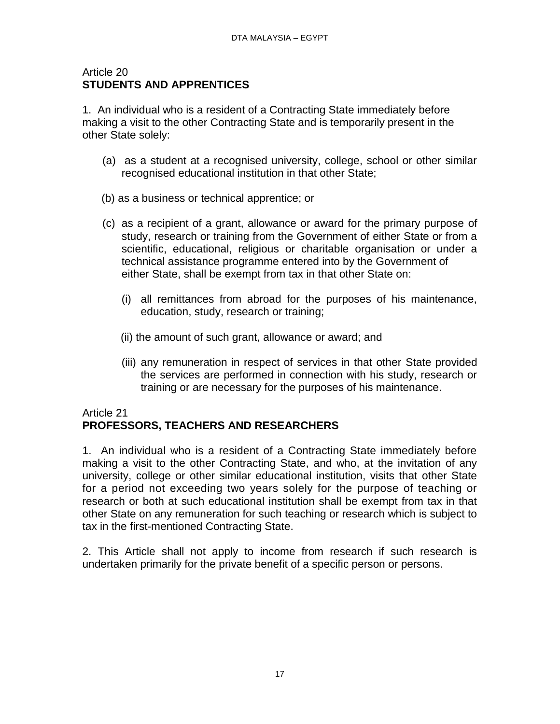### Article 20 **STUDENTS AND APPRENTICES**

1. An individual who is a resident of a Contracting State immediately before making a visit to the other Contracting State and is temporarily present in the other State solely:

- (a) as a student at a recognised university, college, school or other similar recognised educational institution in that other State;
- (b) as a business or technical apprentice; or
- (c) as a recipient of a grant, allowance or award for the primary purpose of study, research or training from the Government of either State or from a scientific, educational, religious or charitable organisation or under a technical assistance programme entered into by the Government of either State, shall be exempt from tax in that other State on:
	- (i) all remittances from abroad for the purposes of his maintenance, education, study, research or training;
	- (ii) the amount of such grant, allowance or award; and
	- (iii) any remuneration in respect of services in that other State provided the services are performed in connection with his study, research or training or are necessary for the purposes of his maintenance.

# Article 21 **PROFESSORS, TEACHERS AND RESEARCHERS**

1. An individual who is a resident of a Contracting State immediately before making a visit to the other Contracting State, and who, at the invitation of any university, college or other similar educational institution, visits that other State for a period not exceeding two years solely for the purpose of teaching or research or both at such educational institution shall be exempt from tax in that other State on any remuneration for such teaching or research which is subject to tax in the first-mentioned Contracting State.

2. This Article shall not apply to income from research if such research is undertaken primarily for the private benefit of a specific person or persons.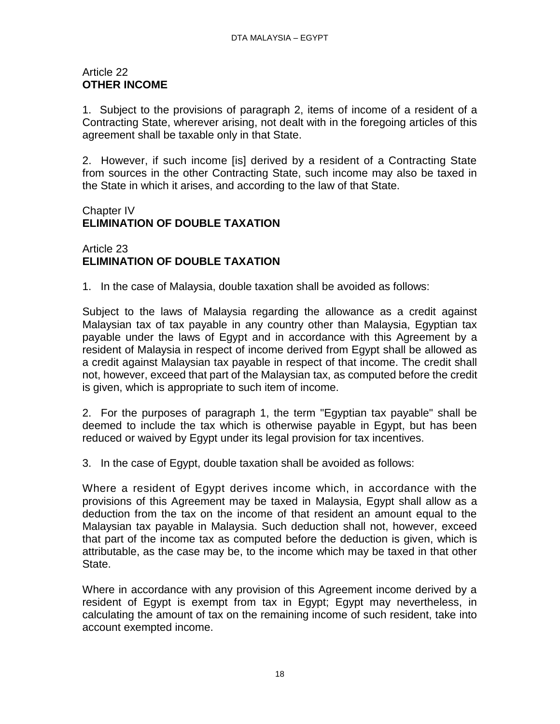#### Article 22 **OTHER INCOME**

1. Subject to the provisions of paragraph 2, items of income of a resident of a Contracting State, wherever arising, not dealt with in the foregoing articles of this agreement shall be taxable only in that State.

2. However, if such income [is] derived by a resident of a Contracting State from sources in the other Contracting State, such income may also be taxed in the State in which it arises, and according to the law of that State.

# Chapter IV **ELIMINATION OF DOUBLE TAXATION**

Article 23 **ELIMINATION OF DOUBLE TAXATION** 

1. In the case of Malaysia, double taxation shall be avoided as follows:

Subject to the laws of Malaysia regarding the allowance as a credit against Malaysian tax of tax payable in any country other than Malaysia, Egyptian tax payable under the laws of Egypt and in accordance with this Agreement by a resident of Malaysia in respect of income derived from Egypt shall be allowed as a credit against Malaysian tax payable in respect of that income. The credit shall not, however, exceed that part of the Malaysian tax, as computed before the credit is given, which is appropriate to such item of income.

2. For the purposes of paragraph 1, the term "Egyptian tax payable" shall be deemed to include the tax which is otherwise payable in Egypt, but has been reduced or waived by Egypt under its legal provision for tax incentives.

3. In the case of Egypt, double taxation shall be avoided as follows:

Where a resident of Egypt derives income which, in accordance with the provisions of this Agreement may be taxed in Malaysia, Egypt shall allow as a deduction from the tax on the income of that resident an amount equal to the Malaysian tax payable in Malaysia. Such deduction shall not, however, exceed that part of the income tax as computed before the deduction is given, which is attributable, as the case may be, to the income which may be taxed in that other State.

Where in accordance with any provision of this Agreement income derived by a resident of Egypt is exempt from tax in Egypt; Egypt may nevertheless, in calculating the amount of tax on the remaining income of such resident, take into account exempted income.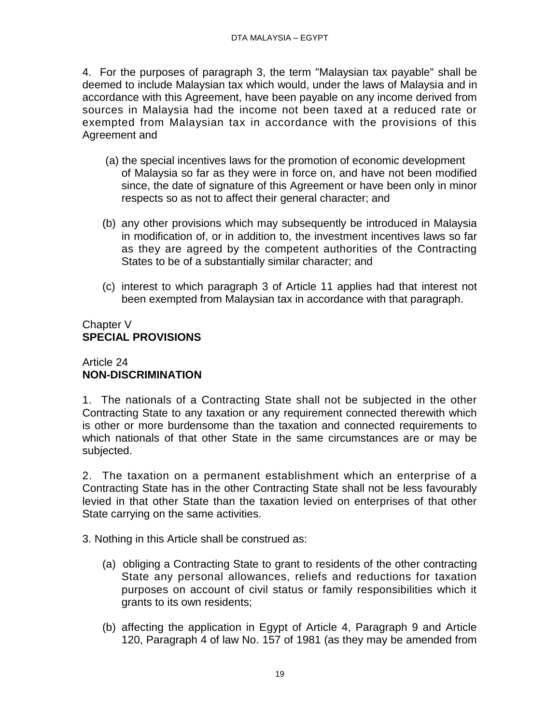4. For the purposes of paragraph 3, the term "Malaysian tax payable" shall be deemed to include Malaysian tax which would, under the laws of Malaysia and in accordance with this Agreement, have been payable on any income derived from sources in Malaysia had the income not been taxed at a reduced rate or exempted from Malaysian tax in accordance with the provisions of this Agreement and

- (a) the special incentives laws for the promotion of economic development of Malaysia so far as they were in force on, and have not been modified since, the date of signature of this Agreement or have been only in minor respects so as not to affect their general character; and
- (b) any other provisions which may subsequently be introduced in Malaysia in modification of, or in addition to, the investment incentives laws so far as they are agreed by the competent authorities of the Contracting States to be of a substantially similar character; and
- (c) interest to which paragraph 3 of Article 11 applies had that interest not been exempted from Malaysian tax in accordance with that paragraph.

# Chapter V **SPECIAL PROVISIONS**

# Article 24 **NON-DISCRIMINATION**

1. The nationals of a Contracting State shall not be subjected in the other Contracting State to any taxation or any requirement connected therewith which is other or more burdensome than the taxation and connected requirements to which nationals of that other State in the same circumstances are or may be subjected.

2. The taxation on a permanent establishment which an enterprise of a Contracting State has in the other Contracting State shall not be less favourably levied in that other State than the taxation levied on enterprises of that other State carrying on the same activities.

3. Nothing in this Article shall be construed as:

- (a) obliging a Contracting State to grant to residents of the other contracting State any personal allowances, reliefs and reductions for taxation purposes on account of civil status or family responsibilities which it grants to its own residents;
- (b) affecting the application in Egypt of Article 4, Paragraph 9 and Article 120, Paragraph 4 of law No. 157 of 1981 (as they may be amended from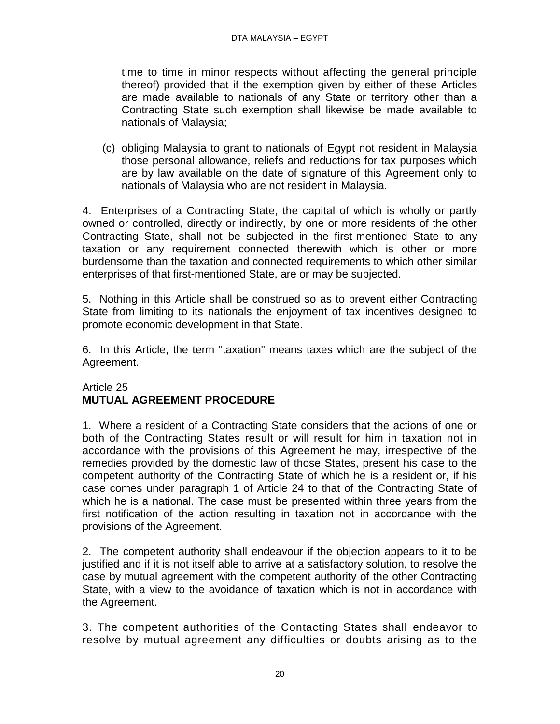time to time in minor respects without affecting the general principle thereof) provided that if the exemption given by either of these Articles are made available to nationals of any State or territory other than a Contracting State such exemption shall likewise be made available to nationals of Malaysia;

(c) obliging Malaysia to grant to nationals of Egypt not resident in Malaysia those personal allowance, reliefs and reductions for tax purposes which are by law available on the date of signature of this Agreement only to nationals of Malaysia who are not resident in Malaysia.

4. Enterprises of a Contracting State, the capital of which is wholly or partly owned or controlled, directly or indirectly, by one or more residents of the other Contracting State, shall not be subjected in the first-mentioned State to any taxation or any requirement connected therewith which is other or more burdensome than the taxation and connected requirements to which other similar enterprises of that first-mentioned State, are or may be subjected.

5. Nothing in this Article shall be construed so as to prevent either Contracting State from limiting to its nationals the enjoyment of tax incentives designed to promote economic development in that State.

6. In this Article, the term "taxation" means taxes which are the subject of the Agreement.

# Article 25 **MUTUAL AGREEMENT PROCEDURE**

1. Where a resident of a Contracting State considers that the actions of one or both of the Contracting States result or will result for him in taxation not in accordance with the provisions of this Agreement he may, irrespective of the remedies provided by the domestic law of those States, present his case to the competent authority of the Contracting State of which he is a resident or, if his case comes under paragraph 1 of Article 24 to that of the Contracting State of which he is a national. The case must be presented within three years from the first notification of the action resulting in taxation not in accordance with the provisions of the Agreement.

2. The competent authority shall endeavour if the objection appears to it to be justified and if it is not itself able to arrive at a satisfactory solution, to resolve the case by mutual agreement with the competent authority of the other Contracting State, with a view to the avoidance of taxation which is not in accordance with the Agreement.

3. The competent authorities of the Contacting States shall endeavor to resolve by mutual agreement any difficulties or doubts arising as to the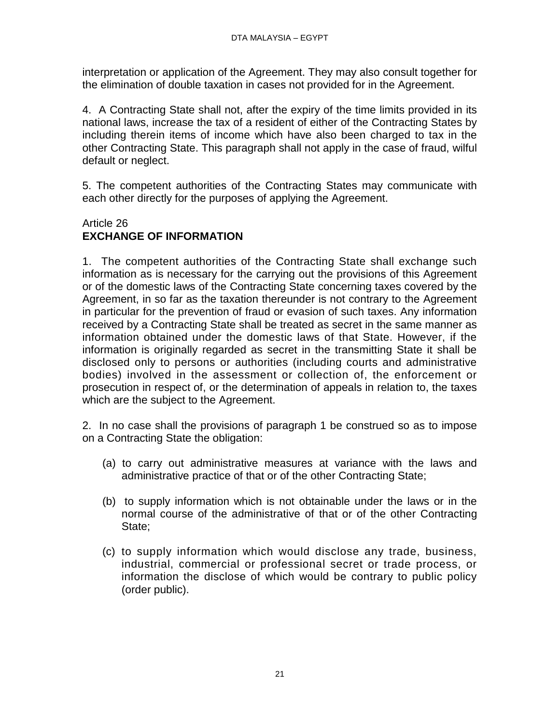interpretation or application of the Agreement. They may also consult together for the elimination of double taxation in cases not provided for in the Agreement.

4. A Contracting State shall not, after the expiry of the time limits provided in its national laws, increase the tax of a resident of either of the Contracting States by including therein items of income which have also been charged to tax in the other Contracting State. This paragraph shall not apply in the case of fraud, wilful default or neglect.

5. The competent authorities of the Contracting States may communicate with each other directly for the purposes of applying the Agreement.

# Article 26 **EXCHANGE OF INFORMATION**

1. The competent authorities of the Contracting State shall exchange such information as is necessary for the carrying out the provisions of this Agreement or of the domestic laws of the Contracting State concerning taxes covered by the Agreement, in so far as the taxation thereunder is not contrary to the Agreement in particular for the prevention of fraud or evasion of such taxes. Any information received by a Contracting State shall be treated as secret in the same manner as information obtained under the domestic laws of that State. However, if the information is originally regarded as secret in the transmitting State it shall be disclosed only to persons or authorities (including courts and administrative bodies) involved in the assessment or collection of, the enforcement or prosecution in respect of, or the determination of appeals in relation to, the taxes which are the subject to the Agreement.

2. In no case shall the provisions of paragraph 1 be construed so as to impose on a Contracting State the obligation:

- (a) to carry out administrative measures at variance with the laws and administrative practice of that or of the other Contracting State;
- (b) to supply information which is not obtainable under the laws or in the normal course of the administrative of that or of the other Contracting State;
- (c) to supply information which would disclose any trade, business, industrial, commercial or professional secret or trade process, or information the disclose of which would be contrary to public policy (order public).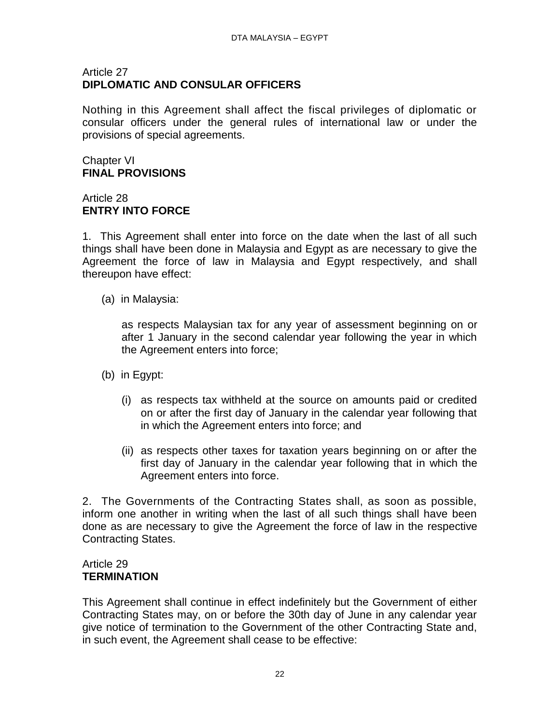## Article 27 **DIPLOMATIC AND CONSULAR OFFICERS**

Nothing in this Agreement shall affect the fiscal privileges of diplomatic or consular officers under the general rules of international law or under the provisions of special agreements.

## Chapter VI **FINAL PROVISIONS**

# Article 28 **ENTRY INTO FORCE**

1. This Agreement shall enter into force on the date when the last of all such things shall have been done in Malaysia and Egypt as are necessary to give the Agreement the force of law in Malaysia and Egypt respectively, and shall thereupon have effect:

(a) in Malaysia:

as respects Malaysian tax for any year of assessment beginning on or after 1 January in the second calendar year following the year in which the Agreement enters into force;

- (b) in Egypt:
	- (i) as respects tax withheld at the source on amounts paid or credited on or after the first day of January in the calendar year following that in which the Agreement enters into force; and
	- (ii) as respects other taxes for taxation years beginning on or after the first day of January in the calendar year following that in which the Agreement enters into force.

2. The Governments of the Contracting States shall, as soon as possible, inform one another in writing when the last of all such things shall have been done as are necessary to give the Agreement the force of law in the respective Contracting States.

# Article 29 **TERMINATION**

This Agreement shall continue in effect indefinitely but the Government of either Contracting States may, on or before the 30th day of June in any calendar year give notice of termination to the Government of the other Contracting State and, in such event, the Agreement shall cease to be effective: